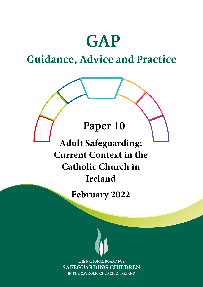# **GAP**

## **Guidance, Advice and Practice**

## **Paper 10**

**Adult Safeguarding: Current Context in the Catholic Church in Ireland**

**February 2022**

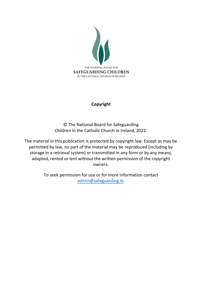

### **Copyright**

© The National Board for Safeguarding Children in the Catholic Church in Ireland, 2022.

The material in this publication is protected by copyright law. Except as may be permitted by law, no part of the material may be reproduced (including by storage in a retrieval system) or transmitted in any form or by any means, adapted, rented or lent without the written permission of the copyright owners.

> To seek permission for use or for more information contact [admin@safeguarding.ie.](mailto:admin@safeguarding.ie)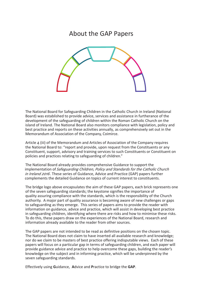## About the GAP Papers



The National Board for Safeguarding Children in the Catholic Church in Ireland (National Board) was established to provide advice, services and assistance in furtherance of the development of the safeguarding of children within the Roman Catholic Church on the island of Ireland. The National Board also monitors compliance with legislation, policy and best practice and reports on these activities annually, as comprehensively set out in the Memorandum of Association of the Company, Coimirce.

Article 4 (iii) of the Memorandum and Articles of Association of the Company requires the National Board to: "report and provide, upon request from the Constituents or any Constituent, support, advisory and training services to such Constituents or Constituent on policies and practices relating to safeguarding of children."

The National Board already provides comprehensive Guidance to support the implementation of *Safeguarding Children, Policy and Standards for the Catholic Church* in Ireland 2016. These series of Guidance, Advice and Practice (GAP) papers further complements the detailed Guidance on topics of current interest to constituents.

The bridge logo above encapsulates the aim of these GAP papers, each brick represents one of the seven safeguarding standards; the keystone signifies the importance of quality assuring compliance with the standards, which is the responsibility of the Church authority. A major part of quality assurance is becoming aware of new challenges or gaps to safeguarding as they emerge. This series of papers aims to provide the reader with information on guidance, advice and practice, which will assist in developing best practice in safeguarding children, identifying where there are risks and how to minimise these risks. To do this, these papers draw on the experiences of the National Board, research and information already available to the reader from other sources.

The GAP papers are not intended to be read as definitive positions on the chosen topic. The National Board does not claim to have inserted all available research and knowledge; nor do we claim to be masters of best practice offering indisputable views. Each of these papers will focus on a particular gap in terms of safeguarding children, and each paper will provide guidance advice and practice to help overcome these gaps, building the reader's knowledge on the subject and in informing practice, which will be underpinned by the seven safeguarding standards.

Effectively using **G**uidance, **A**dvice and **P**ractice to bridge the **GAP**.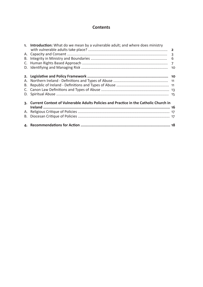### **Contents**

| 1. Introduction: What do we mean by a vulnerable adult; and where does ministry         |  |
|-----------------------------------------------------------------------------------------|--|
|                                                                                         |  |
|                                                                                         |  |
|                                                                                         |  |
|                                                                                         |  |
|                                                                                         |  |
|                                                                                         |  |
| 3. Current Context of Vulnerable Adults Policies and Practice in the Catholic Church in |  |
|                                                                                         |  |
|                                                                                         |  |
|                                                                                         |  |
|                                                                                         |  |
|                                                                                         |  |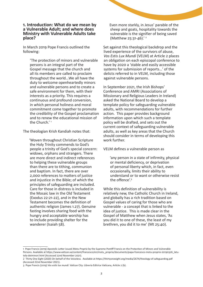#### **1. Introduction: What do we mean by a Vulnerable Adult; and where does Ministry with Vulnerable Adults take place?**

In March 2019 Pope Francis outlined the following:

'The protection of minors and vulnerable persons is an integral part of the Gospel message that the church and all its members are called to proclaim throughout the world…We all have the duty to welcome openheartedly minors and vulnerable persons and to create a safe environment for them, with their interests as a priority. This requires a continuous and profound conversion, in which personal holiness and moral commitment come together to promote the credibility of the Gospel proclamation and to renew the educational mission of the Church.'<sup>1</sup>

The theologian Krish Kandiah notes that:

'Woven throughout Christian Scripture the Holy Trinity commends to God's people a trinity of God's special concern: widows, orphans and strangers. There are more direct and indirect references to helping these vulnerable groups than there are to tithing, communion and baptism. In fact, there are over 2,000 references to matters of justice and injustice in the Bible; of which the principles of safeguarding are included. Care for those in distress is included in the Mosaic law in the Old Testament (Exodus 22:21-22), and in the New Testament becomes the definition of authentic religion (James 1.27). Genuine fasting involves sharing food with the hungry and acceptable worship has to include providing shelter for the wanderer (Isaiah 58).

Even more starkly, in Jesus' parable of the sheep and goats, hospitality towards the vulnerable is the signifier of being saved (Matthew 25:31-46).'<sup>2</sup>

Set against this theological backdrop and the lived experience of the survivors of abuse, *Vos Estis Lux Mundi* (VELM) at Article 2 places an obligation on each episcopal conference to have by 2020 a 'stable and easily accessible systems for submission of reports…' of the delicts referred to in VELM, including those against vulnerable persons.

In September 2021, the Irish Bishops' Conference and AMRI (Associations of Missionary and Religious Leaders in Ireland) asked the National Board to develop a template policy for safeguarding vulnerable adults, with recommendations for further action. This paper provides background information upon which such a template policy will be drafted, and sets out the current context of safeguarding vulnerable adults, as well as key areas that the Church should consider in terms of developing this work further.

VELM defines a vulnerable person as

'any person in a state of infirmity, physical or mental deficiency, or deprivation of personal liberty which, in fact, even occasionally, limits their ability to understand or to want or otherwise resist the offence'.3

While this definition of vulnerability is relatively new, the Catholic Church in Ireland, and globally has a rich tradition based on Gospel values of caring for those who are vulnerable - a concept that is linked to the idea of justice. This is made clear in the Gospel of Matthew when Jesus states, 'As you did it to one of these, the least of my brethren, you did it to me' (Mt 25:40).

<sup>1</sup> Pope Francis (2019) Apostolic Letter issued *Motu Proprio* by the Supreme Pontiff Francis on the Protection of Minors and Vulnerable Persons. Available at https://www.vatican.va/content/francesco/en/motu\_proprio/documents/papa-francesco-motu-proprio-20190326\_latutela-deiminori.html (Accessed 22nd November 2021).

<sup>2</sup> Thirty One Eight (2020) On behalf of the Voiceless. Available at https://thirtyoneeight.org/media/2674/theology-of-safeguarding.pdf (Accessed 22nd November 2021).

<sup>3</sup> Pope Francis (2019) *Vos estis lux mundi*. Vatican City: Libreria Editrice Vaticana, Article 2 (b).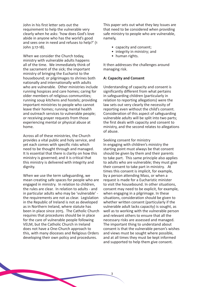John in his first letter sets out the requirement to help the vulnerable very clearly when he asks: 'how does God's love abide in anyone who has the world's good and sees one in need and refuses to help?' (1 John 3:17-18).

When we consider the Church today, ministry with vulnerable adults happens all of the time. We immediately think of the sacrament of the sick; the important ministry of bringing the Eucharist to the housebound; or pilgrimages to shrines both nationally and internationally with adults who are vulnerable. Other ministries include running hospices and care homes; caring for older members of religious communities; running soup kitchens and hostels; providing important ministries to people who cannot leave their homes; running mental health and outreach services to vulnerable people; or receiving prayer requests from those experiencing mental or physical abuse at home.

Across all of these ministries, the Church provides a vital public and holy service, and yet each comes with specific risks which need to be thought through and managed. It Is essential that there is clarity on how this ministry is governed; and it is critical that this ministry is delivered with integrity and dignity.

When we use the term safeguarding, we mean creating safe spaces for people who are engaged in ministry. In relation to children, the rules are clear. In relation to adults - and in particular adults who may be 'vulnerable' the requirements are not as clear. Legislation in the Republic of Ireland is not as developed as in Northern Ireland, where statute has been in place since 2015. The Catholic Church requires that procedures should be in place for the care of vulnerable people following VELM, but the Catholic Church in Ireland does not have a One-Church approach to this, with many dioceses and Religious Orders developing their own policy and procedures.

**CONTRACTOR** 

This paper sets out what they key Issues are that need to be considered when providing safe ministry to people who are vulnerable, namely,

- capacity and consent;
- integrity in ministry; and
- human rights.

It then addresses the challenges around managing risk.

#### **A: Capacity and Consent**

Understanding of capacity and consent is significantly different from what pertains in safeguarding children (particularly in relation to reporting allegations) were the law sets out very clearly the necessity of reporting even without the child's consent. Consideration of this aspect of safeguarding vulnerable adults will be split into two parts; the first deals with capacity and consent to ministry, and the second relates to allegations of abuse.

Seeking consent for ministry In engaging with children's ministry the starting point must always be that consent should be given by them and their parents to take part. This same principle also applies to adults who are vulnerable; they must give their consent to take part in ministry. At times this consent is implicit, for example, by a person attending Mass, or when a request is made for a Eucharistic minister to visit the housebound. In other situations, consent may need to be explicit, for example, when engaging in a pilgrimage. In these situations, consideration should be given to whether written consent (particularly if the vulnerable adult lacks capacity) is sought, as well as to working with the vulnerable person and relevant others to ensure that all the necessary risks are assessed and managed. The important thing to understand about consent is that the vulnerable person's wishes and views must be sought where possible, and at all times they must be kept informed and supported to help them give consent.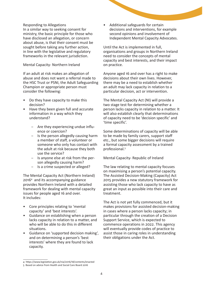#### Responding to Allegations

In a similar way to seeking consent for ministry, the basic principle for those who have disclosed an allegation, or concern about abuse, is that their consent must be sought before taking any further action, in line with the legislative and regulatory frameworks in the relevant jurisdiction.

#### Mental Capacity- Northern Ireland

If an adult at risk makes an allegation of abuse and does not want a referral made to the HSC Trust or PSNI, the Adult Safeguarding Champion or appropriate person must consider the following:

- Do they have capacity to make this decision?
- Have they been given full and accurate information in a way which they understand?
	- Are they experiencing undue influence or coercion?
	- Is the person allegedly causing harm a member of staff, a volunteer or someone who only has contact with the adult at risk because they both use the service?
	- Is anyone else at risk from the person allegedly causing harm?
	- Is a crime suspected or alleged?

The Mental Capacity Act (Northern Ireland) 20164 and its accompanying guidance provides Northern Ireland with a detailed framework for dealing with mental capacity issues for people aged 16 and over. It includes:

- Core principles relating to 'mental capacity' and 'best interests'.
- Guidance on establishing when a person lacks capacity in relation to a matter, and who will be able to do this in different situations.
- Guidance on 'supported decision making', and on determining a person's 'best interests' where they are found to lack capacity.

• Additional safeguards for certain decisions and interventions, for example second opinions and involvement of Independent Mental Capacity Advocates.

Until the Act is implemented in full, organisations and groups in Northern Ireland need to consider the concepts of mental capacity and best interests, and their impact on practice.

Anyone aged 16 and over has a right to make decisions about their own lives. However, there may be a need to establish whether an adult may lack capacity in relation to a particular decision, act or intervention.

The Mental Capacity Act (NI) will provide a two stage test for determining whether a person lacks capacity in relation to a matter. It will also establish clearly that determinations of capacity need to be 'decision specific' and 'time specific'.

Some determinations of capacity will be able to be made by family carers, support staff etc., but some bigger decisions will require a formal capacity assessment by a trained professional.5

Mental Capacity- Republic of Ireland

The law relating to mental capacity focuses on maximising a person's potential capacity. The Assisted Decision-Making (Capacity) Act 2015 provides a new statutory framework for assisting those who lack capacity to have as great an input as possible into their care and treatment.

The Act is not yet fully commenced, but it makes provisions for assisted decision-making in cases where a person lacks capacity; in particular through the creation of a Decision Support Service, which is expected to commence operations in 2022. This agency will eventually provide codes of practice to assist those in caring roles in understanding their obligations under the Act.

<sup>4</sup> https://www.legislation.gov.uk/nia/2016/18/contents/enacted

<sup>5</sup> Based on advice from Health and Social Care Board 2016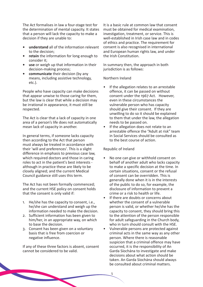The Act formalises in law a four-stage test for the determination of mental capacity. It states that a person will lack the capacity to make a decision if they are unable to:

- **• understand** all of the information relevant to the decision;
- **• retain** the information for long enough to consider it;
- **• use** or weigh up that information in their decision-making process;
- **• communicate** their decision (by any means, including assistive technology, etc.).

People who have capacity can make decisions that appear unwise to those caring for them, but the law is clear that while a decision may be irrational in appearance, it must still be respected.

The Act is clear that a lack of capacity in one area of a person's life does not automatically mean lack of capacity in another.

In general terms, if someone lacks capacity then according to the Act that person must always be treated in accordance with their 'will and preferences'. This is a slight difference in emphasis to previous case law, which required doctors and those in caring roles to act in the patient's best interests although in practice these are likely to be closely aligned; and the current Medical Council guidance still uses this term.

The Act has not been formally commenced; and the current HSE policy on consent holds that the consent is only valid if:

- 1. He/she has the capacity to consent, i.e., he/she can understand and weigh up the information needed to make the decision.
- 2. Sufficient information has been given to him/her, in an appropriate way, on which to base the decision.
- 3. Consent has been given on a voluntary basis that is free from coercion or negative influence.

If any of these three factors is absent, consent cannot be considered to be valid.

It is a basic rule at common law that consent must be obtained for medical examination, investigation, treatment, or service. This is well-established in Irish case law and in codes of ethics and practice. The requirement for consent is also recognised in international and European human rights law, and under the Irish Constitution.

In summary then, the approach in both jurisdiction is as follows:

#### Northern Ireland

- If the allegation relates to an arrestable offence, it can be passed on without consent under the 1967 Act. However, even in these circumstances the vulnerable person who has capacity should give their consent. If they are unwilling to do so it should be explained to them that under the law, the allegation needs to be passed on.
- If the allegation does not relate to an arrestable offence the "Adult at risk" team in Social Services should be consulted as to the best course of action.

#### Republic of Ireland

- No one can give or withhold consent on behalf of another adult who lacks capacity to make a specific decision at the time. In certain situations, consent or the refusal of consent can be overridden. This is generally done when it is in the interests of the public to do so, for example, the disclosure of information to prevent a crime or a risk to health or life.
- If there are doubts or concerns about whether the consent of a vulnerable person is valid, or whether he/she has the capacity to consent, they should bring this to the attention of the person responsible for adult safeguarding in the Church body, who in turn should consult with the HSE.
- Vulnerable persons are protected against criminal acts in the same way as any other person. Where there is reasonable suspicion that a criminal offence may have occurred, it is the responsibility of An Garda Síochána to investigate and make decisions about what action should be taken. An Garda Síochána should always be consulted about criminal matters.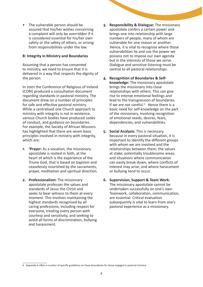• The vulnerable person should be assured that his/her wishes concerning a complaint will only be overridden if it is considered essential for his/her own safety or the safety of others, or arising from responsibilities under the law.

#### **B: Integrity in Ministry and Boundaries**

Assuming that a person has consented to ministry, we need to ensure that it is delivered in a way that respects the dignity of the person.

In 2001 the Conference of Religious of Ireland (CORI) produced a consultation document regarding standards in pastoral ministry. The document drew on a number of principles for safe and effective pastoral ministry. While a centralised one Church approach to ministry with integrity is not in existence, various Church bodies have produced codes of conduct, and guidance on boundaries. For example, the Society of African Missions has highlighted that there are seven basic principles involved in ministry with integrity, which are:

- **1. 'Prayer:** As a vocation, the missionary apostolate is rooted in faith, at the heart of which is the experience of the Triune God, that is based on baptism and ceaselessly nourished by the sacraments, prayer, meditation and spiritual direction.
- **2. Professionalism:** The missionary apostolate professes the values and standards of Jesus the Christ and seeks to bear witness to them at every moment. This involves maintaining the highest standards recognised by all caring professions, including respect for everyone, treating every person with courtesy and sensitivity, and seeking to avoid all forms of discrimination, bullying and harassment.
- **3. Responsibility & Dialogue:** The missionary apostolate confers a certain power and brings one into relationship with large numbers of people, many of whom are vulnerable for one reason or another. Hence, it is vital to recognise where those vulnerabilities lie and use the power we possess not to impose our own agenda but in the interests of those we serve. Dialogue and sensitive listening must be central to all pastoral relationships.
- **4. Recognition of Boundaries & Selfknowledge:** The missionary apostolate brings the missionary into close relationships with others. This can give rise to intense emotional feelings and lead to the transgression of boundaries if we are not careful.<sup>6</sup> Hence there is a basic need for self-knowledge on the part of the missionary, involving recognition of emotional needs, desires, fears, dependencies, and vulnerabilities.
- **5. Social Analysis:** This is necessary because in every pastoral situation, it is important to identify the different groups with whom we are involved and the relationships between them; the values at stake; potentially troublesome areas; and situations where communication can easily break down, where conflicts of interest may arise, and where harassment or bullying tend to occur.
- **6. Supervision, Support & Team Work:** The missionary apostolate cannot be undertaken successfully on one's own. Teamwork, collaboration, communication, are essential. Critical evaluation subsequently is vital to learn from one's pastoral experience as a missionary.

<sup>6</sup> Appendix A offers a number of specific guidelines on these boundaries for those engaged in pastoral ministry.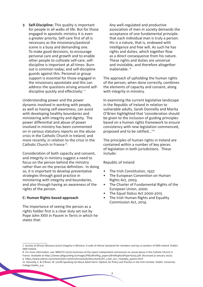**7. Self-Discipline:** This quality is important for people in all walks of life. But for those engaged in apostolic ministry it is even a greater priority. Self-care first of all is necessary as the missionary/pastoral scene is a busy and demanding one. To make good decisions, to encourage personal care and growth and to enable other people to cultivate self-care, selfdiscipline is important at all times. Burn out is common today; and self-discipline guards against this. Personal or group support is essential for those engaged in the missionary apostolate and this can address the questions arising around selfdiscipline quickly and effectively.' 7

Understanding power and the power dynamic involved in working with people, as well as having self-awareness, can assist with developing healthy boundaries and ministering with integrity and dignity. The power differential and abuse of power involved in ministry has been commented on in various statutory reports on the abuse crisis in the Catholic Church in Ireland; and more recently, in relation to the crisis in the Catholic Church in France<sup>8</sup>.

Consideration of both capacity and consent, and integrity in ministry suggest a need to focus on the person behind the ministry rather than on the precise definition. In doing so, it is important to develop preventative strategies through good practice in ministering with integrity and boundaries, and also through having an awareness of the rights of the person.

#### **C: Human Rights based approach**

The importance of seeing the person as a rights holder first is a clear duty set out by Pope John XXIII in Pacem in Terris in which he states that:

Any well-regulated and productive association of men in society demands the acceptance of one fundamental principle: that each individual man is truly a person. His is a nature, that is, endowed with intelligence and free will. As such he has rights and duties, which together flow as a direct consequence from his nature. These rights and duties are universal and inviolable, and therefore altogether inalienable. 9

The approach of upholding the human rights of the person, when done correctly, combines the elements of capacity and consent, along with integrity in ministry.

In examining the current legislative landscape in the Republic of Ireland in relation to vulnerable adults, Sarah Donnelly and Marita O'Brien highlighted that 'consideration should be given to the inclusion of guiding principles based on a human rights framework to ensure consistency with new legislation commenced, proposed and to be ratified…'10

The principles of human rights in Ireland are contained within a number of key pieces of legislation in both jurisdictions. These include:

Republic of Ireland

- The Irish Constitution, 1937.
- The European Convention on Human Rights Act, 2003.
- The Charter of Fundamental Rights of the European Union, 2000.
- The Equal Status Act 2000-2015
- The Irish Human Rights and Equality Commission Act, 2014.

8 For more information, see: NBSCCCI (2021) Summary of the report independent commission on sexual abuse in the Catholic Church in France. Available at https://www.safeguarding.ie/images/Pdfs/Briefing\_papers/Briefing%20Paper%203.pdf. (Accessed 31 January 2022). 9 https://www.vatican.va/content/john-xxiii/en/encyclicals/documents/hf\_j-xxiii\_enc\_11041963\_pacem.html

<sup>7</sup> Society of African Missions (2021) Integrity in Ministry: A code of ethical standards for members and lay co-workers of SMA Ireland. Dublin: SMA Ireland.

<sup>10</sup> Donnelly, S. & O'Brien, M. (2018) Speaking Up About Adult Harm: Options for Policy and Practice in the Irish Context. Dublin: University College Dublin, p.4.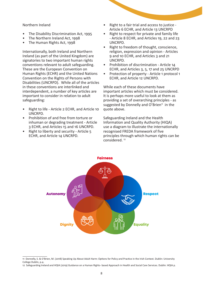#### Northern Ireland

- The Disability Discrimination Act, 1995
- The Northern Ireland Act, 1998
- The Human Rights Act, 1998

Internationally, both Ireland and Northern Ireland (as part of the United Kingdom) are signatories to two important human rights conventions relevant to adult safeguarding. These are the European Convention on Human Rights (ECHR) and the United Nations Convention on the Rights of Persons with Disabilities (UNCRPD). While all of the articles in these conventions are interlinked and interdependent, a number of key articles are important to consider in relation to adult safeguarding:

- Right to life Article 2 ECHR, and Article 10 UNCRPD.
- Prohibition of and free from torture or inhuman or degrading treatment - Article 3 ECHR, and Articles 15 and 16 UNCRPD.
- Right to liberty and security Article 5 ECHR, and Article 14 UNCRPD.
- Right to a fair trial and access to justice Article 6 ECHR, and Article 13 UNCRPD
- Right to respect for private and family life - Article 8 ECHR, and Articles 19, 22 and 23 UNCRPD.
- Right to freedom of thought, conscience, religion, expression and opinion - Articles 9 and 10 ECHR, and Articles 3 and 21 UNCRPD.
- Prohibition of discrimination Article 14 ECHR, and Articles 3, 5, 17 and 25 UNCRPD
- Protection of property Article 1 protocol 1 ECHR, and Article 12 UNCRPD.

While each of these documents have important articles which must be considered. It is perhaps more useful to look at them as providing a set of overarching principles - as suggested by Donnelly and O'Brien $11$  in the quote above.

Safeguarding Ireland and the Health Information and Quality Authority (HIQA) use a diagram to illustrate the internationally recognised FREDA framework of five principles through which human rights can be considered.<sup>12</sup>



<sup>11</sup> Donnelly, S. & O'Brien, M. (2018) Speaking Up About Adult Harm: Options for Policy and Practice in the Irish Context. Dublin: University College Dublin, p.4.

<sup>12</sup> Safeguarding Ireland and HQIA (2019) Guidance on a Human Rights- based Approach in Health and Social Care Services. Dublin: HQIA p.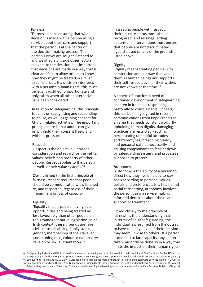#### **F**airness

'Fairness means ensuring that when a decision is made with a person using a service about their care and support, that the person is at the centre of the decision-making process. The person's views are sought, listened to and weighed alongside other factors relevant to the decision. It is important that decisions are made in a way that is clear and fair, to allow others to know how they might be treated in similar circumstances. If a decision interferes with a person's human rights, this must be legally justified, proportionate and only taken when all other alternatives have been considered.<sup>'13</sup>

In relation to safeguarding, this principle touches on recognising and responding to abuse, as well as gaining consent for Church related activities. The important principle here is that adults can give or withhold their consent freely and without pressure.

#### **R**espect

'Respect is the objective, unbiased consideration and regard for the rights, values, beliefs and property of other people. Respect applies to the person as well as their value systems.'14

Closely linked to the first principle of fairness, respect requires that people should be communicated with, listened to, and respected, regardless of their impairment or loss of capacity.

#### **E**quality

'Equality means people having equal opportunities and being treated no less favourably than other people on the grounds set out in legislation. In an Irish context, these grounds are: age; civil status; disability; family status; gender; membership of the Traveller community; race, colour or nationality; religion or sexual orientation.'15

In treating people with respect, their equality status must also be recognised; and all safeguarding actions and interventions must ensure that people are not discriminated against based on any of the grounds listed above.

#### **D**ignity

'Dignity means treating people with compassion and in a way that values them as human beings and supports their self-respect, even if their wishes are not known at the time.'16

A sphere of practice in need of continued development in safeguarding children in Ireland is responding pastorally to complainants. Indeed, this has been highlighted in recent communications from Pope Francis as an area that needs constant work. By upholding human dignity, damaging practices are restricted - such as perpetuating unhelpful attitudes and stereotypes, breaching privacy and personal data unnecessarily, and causing complainants to feel let down by safeguarding systems and processes supposed to protect.

#### **A**utonomy

'Autonomy is the ability of a person to direct how they live on a day-to-day basis according to personal values, beliefs and preferences. In a health and social care setting, autonomy involves the person using a service making informed decisions about their care, support or treatment.<sup>'17</sup>

Linked closely to the principle of fairness, is the understanding that in terms of adult safeguarding, the individual is presumed from the outset to have capacity - even if their decision may seem unwise to others. If a person is deemed to lack capacity, any action taken must still be done so in a way that limits the impact on their human rights.

<sup>13</sup> Safeguarding Ireland and HQIA (2019) Guidance on a Human Rights- based Approach in Health and Social Care Services. Dublin: HQIA p. 14. 14 Safeguarding Ireland and HQIA (2019) Guidance on a Human Rights- based Approach in Health and Social Care Services. Dublin: HQIA p. 24. 15 Safeguarding Ireland and HQIA (2019) Guidance on a Human Rights- based Approach in Health and Social Care Services. Dublin: HQIA p. 32. 16 Safeguarding Ireland and HQIA (2019) Guidance on a Human Rights- based Approach in Health and Social Care Services. Dublin: HQIA p. 38. 17 Safeguarding Ireland and HQIA (2019) Guidance on a Human Rights- based Approach in Health and Social Care Services. Dublin: HQIA p. 46.

<sup>9</sup>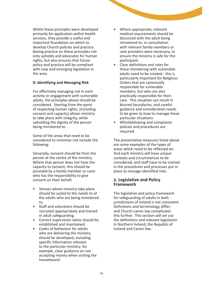Whilst these principles were developed primarily for application within health services, they provide a useful and important foundation on which to develop Church policies and practice. Basing practice on these principles not only upholds and advocates for human rights, but also ensures that future policy and practice will be compliant with new and emerging legislation in the area.

#### **D. Identifying and Managing Risk**

For effectively managing risk in each activity or engagement with vulnerable adults, the principles above should be considered. Starting from the point of respecting human rights, (including consent and capacity) allows ministry to take place with integrity, while upholding the dignity of the person being ministered to.

Some of the areas that need to be considered to minimise risk include the following:

Generally, consent should be from the person at the centre of the ministry. Where that person does not have the capacity to consent, this should be provided by a family member or carer who has the responsibility to give consent on their behalf.

- Venues where ministry take place should be suited to the needs to of the adults who are being ministered to.
- Staff and volunteers should be recruited appropriately and trained in adult safeguarding.
- Correct supervision ratios should be established and maintained
- Codes of behaviour for adults who are delivering the ministry should be developed, including specific information relevant to the particular ministry; for example, clear guidance on not accepting money when visiting the housebound.
- Where appropriate, relevant medical requirements should be discussed with the adult being ministered to, in consultation with relevant family members or care providers were necessary, to ensure the ministry is safe for the participant.
- Clear definitions and roles for those ministering with vulnerable adults need to be created - this is particularly important for Religious Orders that are canonically responsible for vulnerable members, but who are also practically responsible for their care. This situation can result in blurred boundaries, and careful guidance and consideration needs to be given to how to manage these particular situations.
- Whistleblowing and complaints policies and procedures are required.

The preventative measures listed above are some examples of the types of areas which need to be reflected on: And each ministry will have unique contexts and circumstances to be considered; and staff have to be trained in the procedures and processes put in place to manage identified risks.

#### **2. Legislative and Policy Framework**

The legislative and policy framework for safeguarding of adults in both jurisdictions of Ireland is not consistent. Definitions and terminology differ; and Church canon law complicates this further. This section will set out the definitions and relevant legislation in Northern Ireland, the Republic of Ireland and Canon law.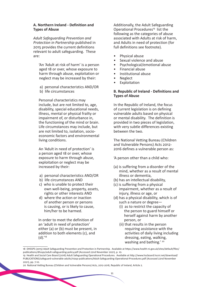#### **A. Northern Ireland - Definition and Types of Abuse**

*Adult Safeguarding Prevention and Protection in Partnership* published in 2015 provides the current definitions relevant to adult safeguarding. These are:

'An 'Adult at risk of harm' is a person aged 18 or over, whose exposure to harm through abuse, exploitation or neglect may be increased by their:

a) personal characteristics AND/OR b) life circumstances

Personal characteristics may include, but are not limited to, age, disability, special educational needs, illness, mental or physical frailty or impairment of, or disturbance in, the functioning of the mind or brain. Life circumstances may include, but are not limited to, isolation, socioeconomic factors and environmental living conditions.

An 'Adult in need of protection' is a person aged 18 or over, whose exposure to harm through abuse, exploitation or neglect may be increased by their:

- a) personal characteristics AND/OR
- b) life circumstances AND
- c) who is unable to protect their own well-being, property, assets, rights or other interests AND
- d) where the action or inaction of another person or persons is causing, or is likely to cause, him/her to be harmed.

In order to meet the definition of an 'adult in need of protection' either (a) or (b) must be present, in addition to both elements (c), and (d).'18

Additionally, the Adult Safeguarding Operational Procedures<sup>19</sup> list the following as the categories of abuse associated with Adults at risk of harm, and Adults in need of protection (for full definitions see footnote).

- Physical abuse
- Sexual violence and abuse
- Psychological/emotional abuse
- Financial abuse
- Institutional abuse
- Neglect
- **Exploitation**

#### **B. Republic of Ireland - Definitions and Types of Abuse**

In the Republic of Ireland, the focus of current legislation is on defining vulnerable adults based on physical or mental disability. The definition is provided in two pieces of legislation, with very subtle differences existing between the two.

The National Vetting Bureau (Children and Vulnerable Persons) Acts 2012- 2016 defines a vulnerable person as:

'A person other than a child who:

- (a) is suffering from a disorder of the mind, whether as a result of mental illness or dementia,
- (b) has an intellectual disability,
- (c) is suffering from a physical impairment, whether as a result of injury, illness or age, or
- (d) has a physical disability, which is of such a nature or degree—
	- (i) as to restrict the capacity of the person to guard himself or herself against harm by another person, or
	- (ii) that results in the person requiring assistance with the activities of daily living including dressing, eating, walking, washing and bathing.' 20

<sup>18</sup> DHSSPS (2015) Adult Safeguarding Prevention and Protection in Partnership. Available at https://www.health-ni.gov.uk/sites/default/files/ publications/dhssps/adult-safeguarding-policy.pdf (Accessed 22nd November 2021), p. 10.

<sup>19</sup> Health and Social Care Board (2016) Adult Safeguarding Operational Procedures. Available at http://www.hscboard.hscni.net/download/ PUBLICATIONS/safeguard-vulnerable-adults/niasp-publications/Adult-Safeguarding-Operational-Procedures.pdf (Accessed 22nd November 2021), pp. 7-10.

<sup>20</sup> National Vetting Bureau (Children and Vulnerable Persons) Acts, 2012-2016, Republic of Ireland, Article 2.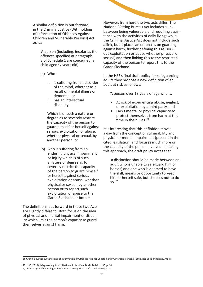A similar definition is put forward in the Criminal Justice (Withholding of Information of Offences Against Children and Vulnerable Persons) Act 2012:

> 'A person (including, insofar as the offences specified at paragraph 8 of Schedule 2 are concerned, a child aged 17 years old) -

- (a) Who-
	- I. is suffering from a disorder of the mind, whether as a result of mental illness or dementia, or
	- II. has an intellectual disability.

Which is of such a nature or degree as to severely restrict the capacity of the person to guard himself or herself against serious exploitation or abuse, whether physical or sexual, by another person, or

(b) who is suffering from an enduring physical impairment or injury which is of such a nature or degree as to severely restrict the capacity of the person to guard himself or herself against serious exploitation or abuse, whether physical or sexual, by another person or to report such exploitation or abuse to the Garda Siochana or both.'21

The definitions put forward in these two Acts are slightly different. Both focus on the idea of physical and mental impairment or disability which limit the person's capacity to guard themselves against harm.

However, from here the two acts differ: The National Vetting Bureau Act includes a link between being vulnerable and requiring assistance with the activities of daily living; while the Criminal Justice Act does not include such a link, but it places an emphasis on guarding against harm, further defining this as 'serious exploitation or abuse whether physical or sexual', and then linking this to the restricted capacity of the person to report this to the Garda Siochana.

In the HSE's final draft policy for safeguarding adults they propose a new definition of an adult at risk as follows:

'A person over 18 years of age who is:

- At risk of experiencing abuse, neglect, or exploitation by a third party, and
- Lacks mental or physical capacity to protect themselves from harm at this time in their lives.'<sup>22</sup>

It is interesting that this definition moves away from the concept of vulnerability and physical or mental impairment (present in the cited legislation) and focuses much more on the capacity of the person involved. In taking this approach, the draft policy notes that

'a distinction should be made between an adult who is unable to safeguard him or herself, and one who is deemed to have the skill, means or opportunity to keep him or herself safe, but chooses not to do so.'23

<sup>21</sup> Criminal Justice (withholding of Information of Offences Against Children and Vulnerable Persons), 2012, Republic of Ireland, Article 1.

<sup>22</sup> HSE (2019) Safeguarding Adults National Policy Final Draft. Dublin: HSE, p. 10.

<sup>23</sup> HSE (2019) Safeguarding Adults National Policy Final Draft. Dublin: HSE, p. 10.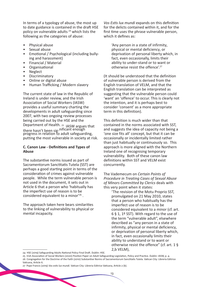In terms of a typology of abuse, the most up to date guidance is contained in the draft HSE policy on vulnerable adults 24 which lists the following as the categories of abuse:

- Physical abuse
- Sexual abuse
- Emotional / Psychological (including bullying and harassment)
- Financial / Material
- **Organisational**
- Neglect
- **Discriminatory**
- Online or digital abuse
- Human Trafficking / Modern slavery

The current state of law in the Republic of Ireland is under review, and the Irish Association of Social Workers (IASW) provides a useful summary charting the developments in adult safeguarding since 2007, with two ongoing review processes being carried out by the HSE and the Department of Health. <sup>25</sup> IASW argues that there hasn't been sig-nificant enough progress in relation to adult safeguarding, putting the most vulnerable in society at risk.

#### **C. Canon Law - Definitions and Types of Abuse**

The substantive norms issued as part of Sacramentorum Sanctitatis Tutela (SST) are perhaps a good starting point in terms of the consideration of crimes against vulnerable people. While the term vulnerable person is not used in the document, it sets out in Article 6 that a person who 'habitually has the imperfect use of reason is to be considered equivalent to a minor<sup>'26</sup>.

The approach taken here bears similarities to the linking of vulnerability to physical or mental incapacity.

*Vos Estis lux mundi* expands on this definition for the delicts contained within it, and for the first time uses the phrase vulnerable person, which it defines as:

> 'Any person in a state of infirmity, physical or mental deficiency, or deprivation of personal liberty which, in fact, even occasionally, limits their ability to under-stand or to want or otherwise resist the offence'.<sup>27</sup>

(It should be understood that the definition of vulnerable person is derived from the English translation of VELM, and that the English translation can be interpreted as suggesting that the vulnerable person could 'want' an 'offence' to occur. This is clearly not the intention, and it is perhaps best to consider 'consent' as a more appropriate term in this definition).

This definition is much wider than that contained in the norms associated with SST, and suggests the idea of capacity not being a 'one size fits all' concept, but that it can be occasionally or incidentally limited rather than just habitually or continuously so. This approach is more aligned with the Northern Ireland one of recognising temporary vulnerability. Both of these canon law definitions within SST and VELM exist concurrently.

The Vademecum on *Certain Points of Procedure in Treating Cases of Sexual Abuse of Minors Committed by Clerics* deals with this very point when it states:

'The revision of the Motu Proprio SST, promulgated on 21 May 2010, states that a person who habitually has the imperfect use of reason is to be considered equivalent to a minor (cf. art. 6 § 1, 1º SST). With regard to the use of the term "vulnerable adult", elsewhere described as "any person in a state of infirmity, physical or mental deficiency, or deprivation of personal liberty which, in fact, even occasionally limits their ability to understand or to want or otherwise resist the offence" (cf. art. 1 § 2,b VELM),

<sup>24</sup> HSE (2019) Safeguarding Adults National Policy Final Draft. Dublin: HSE.

<sup>25</sup> Irish Association of Social Workers (2020) Position Paper on Adult Safeguarding Legislation, Policy and Practice. Dublin: IASW, p. 4. 26 Congregation for the Doctrine of the Faith (2010) Substantive Norms of Sacramentorum Sanctitatis Tutela. Vatican City: Libreria Editrice Vaticana, Article 6.

<sup>27</sup> Pope Francis (2019) *Vos estis lux mundi*. Vatican City: Libreria Editrice Vaticana, Article 2 (b).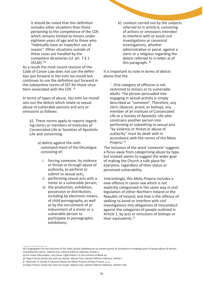it should be noted that this definition includes other situations than those pertaining to the competence of the CDF, which remains limited to minors under eighteen years of age and to those who "habitually have an imperfect use of reason". Other situations outside of these cases are handled by the competent dicasteries (cf. art. 7 § 1 VELM).'<sup>28</sup>

As a result the most recent revision of the Code of Canon Law does not use the definition put forward in *Vos estis lux mundi* but continues to use the definition put forward in the substantive norms of SST for those situations associated with the CDF.<sup>29</sup>

In terms of types of abuse, *Vos estis lux mundi*  sets out the delicts which relate to sexual abuse of vulnerable persons and acts or omissions as follows:

§1. These norms apply to reports regarding clerics or members of Institutes of Consecrated Life or Societies of Apostolic Life and concerning:

- a) delicts against the sixth command-ment of the Decalogue consisting of:
	- i. forcing someone, by violence or threat or through abuse of authority, to perform or submit to sexual acts;
	- ii. performing sexual acts with a minor or a vulnerable person;
	- iii. the production, exhibition, possession or distribution, including by electronic means, of child pornography, as well as by the recruitment of or inducement of a minor or a vulnerable person to participate in pornographic exhibitions;

b) conduct carried out by the subjects referred to in article 6, consisting of actions or omissions intended to interfere with or avoid civil investigations or canonical investigations, whether administrative or penal, against a cleric or a religious regarding the delicts referred to in letter a) of this paragraph. 30

It is important to note in terms of delicts above that the

'…first category of offences is not restricted to minors or to vulnerable adults. The person persuaded into engaging in sexual activity is simply described as "someone". Therefore, any cleric (deacon, priest, or bishop), any member of an Institute of Consecrated Life or a Society of Apostolic Life who constrains another person into performing or submitting to sexual acts "by violence or threat or abuse of authority" must be dealt with in accordance with the norms of the *Motu Proprio*.' 31

The inclusion of the word 'someone' suggests a focus away from categorising abuse by type, but instead seems to suggest the wider goal of making the Church a safe place for everyone, regardless of their status or perceived vulnerability.

Interestingly, this *Motu Proprio* includes a new offence in canon law which is not explicitly categorised in the same way in civil legislation of either Northern Ireland or the Republic of Ireland; and that is the offence of seeking to avoid or interfere with civil investigations into allegations of misconduct against the categories of people outlined in Article 1, by acts or omissions of bishops or their equivalents.32

<sup>28</sup> Congregation for the Doctrine of the Faith (2020) Vademecum on certain points of procedure in treating cases of sexual abuse of minors committed by clerics. Vatican City: Libreria Editrice Vaticana, Article 5.

<sup>29</sup> For more information, see Canon 1398 Article 1 in the revision of Book six.

<sup>30</sup> Pope Francis (2019) *Vos estis lux mundi.* Vatican City: Libreria Editrice Vaticana, Article 1.

<sup>31</sup> McGrath, A. (2019) A Canonist Reads the Motu Proprio of Pope Francis. p. 4.

<sup>32</sup> Pope Francis (2019) *Vos estis lux mundi*. Vatican City: Libreria Editrice Vaticana, Article1.1 (b).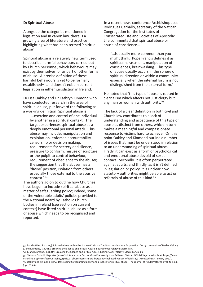#### **D: Spiritual Abuse**

Alongside the categories mentioned in legislation and in canon law, there is a growing area of literature and practice highlighting what has been termed 'spiritual abuse'.

Spiritual abuse is a relatively new term used to describe harmful behaviours carried out by Church personnel, which behaviours may exist by themselves, or as part of other forms of abuse. A precise definition of these harmful behaviours is yet to be formally established<sup>33</sup> and doesn't exist in current legislation in either jurisdiction in Ireland.

Dr Lisa Oakley and Dr Kathryn Kinmond who have conducted research in the area of spiritual abuse, put forward the following as a working definition: Spiritual abuse is

'…coercion and control of one individual by another in a spiritual context. The target experiences spiritual abuse as a deeply emotional personal attack. This abuse may include: manipulation and exploitation, enforced accountability, censorship or decision making, requirements for secrecy and silence, pressure to conform, misuse of scripture or the pulpit to control behaviour, requirement of obedience to the abuser, the suggestion that the abuser has a 'divine' position, isolation from others especially those external to the abusive context.' <sup>34</sup>

The authors go on to outline how Churches have begun to include spiritual abuse as a matter of safeguarding policy; indeed, some of the vulnerable adults' policies provided to the National Board by Catholic Church bodies in Ireland (see section on current context) have listed spiritual abuse as a form of abuse which needs to be recognised and reported.

In a recent news conference Archbishop Jose Rodriguez Carballo, secretary of the Vatican Congregation for the Institutes of Consecrated Life and Societies of Apostolic Life commented that spiritual abuse or abuse of conscience…

"…is usually more common than you might think. Pope Francis defines it as spiritual harassment, manipulation of consciences, brainwashing. This type of abuse usually occurs in the sphere of spiritual direction or within a community, especially when the internal forum is not distinguished from the external form."

He noted that 'this type of abuse is rooted in clericalism which affects not just clergy but any man or woman with authority.'<sup>35</sup>

The lack of a clear definition in both civil and Church law contributes to a lack of understanding and acceptance of this type of abuse as distinct from others, which in turn makes a meaningful and compassionate response to victims hard to achieve. On this point Oakley and Kinmond outline a number of issues that must be understood in relation to an understanding of spiritual abuse. Firstly, it can exist as a form of psychological and emotional abuse devoid of sexual contact. Secondly, it is often perpetrated against adults; and thirdly, as it isn't defined in legislation or policy, it is unclear how statutory authorities might be able to act on referrals of abuse of this kind.36

34 L. and Kinmond, K. (2013) Breaking the Silence on Spiritual Abuse. Basingstoke: Palgrave Macmillan, p. 25.

35 National Catholic Reporter (2021) Spiritual Abuse Occurs More Frequently than Believed, Vatican Official Says. Available at: https://www. ncronline.org/news/accountability/spiritual-abuse-occurs-more-frequently-believed-vatican-official-says (Accessed 19th January 2022). 36 Oakley and Kinmond (2014) Developing Safeguarding policy and practice for spiritual abuse. The Journal of Adult Protection vol. 16 no. 2 (pp. 87-95)

<sup>33</sup> Parish- West, P. (2009) Spiritual Abuse within the Judaeo Christian Tradition: implications for practice. Derby: University of Derby; Oakley, L. and Kinmond, K. (2013) Breaking the Silence on Spiritual Abuse. Basingstoke: Palgrave Macmillan.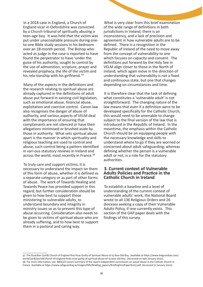In a 2018 case in England, a Church of England vicar in Oxfordshire was convicted by a Church tribunal of spiritually abusing a teen-age boy. It was held that the victim was put under unacceptable pressure during oneto-one Bible study sessions in his bedroom over an 18-month period. The Bishop who acted as judge in the case is reported to have found the perpetrator to have 'under the guise of his authority, sought to control by the use of admonition, scripture, prayer and revealed prophecy, the life of the victim and his rela-tionship with his girlfriend.'<sup>37</sup>

Many of the aspects in the definitions and the research relating to spiritual abuse are already captured in the definitions of adult abuse put forward in existing civil legislation, such as emotional abuse, financial abuse, exploitation and coercive control. Canon law also recognises the danger of abuse of authority, and various aspects of VELM deal with the importance of ensuring that complainants are not silenced or have their allegations minimised or brushed aside by those in authority. What sets spiritual abuse apart is the manner in which spirituality and religious teaching are used to control and abuse, such control being a pattern identified in vari-ous statutory reviews in Ireland and across the world, most recently in France.<sup>38</sup>

To truly care and support victims, it is necessary to understand the impact on them of this form of abuse, whether it is defined as a separate category or as part of other forms of abuse. The work of Towards Healing and Towards Peace has provided support in this regard; but further consideration should be given to how best to support those ministering to vulnerable adults, to understand boundary and integrity in ministry issues so as to prevent this type of abuse occurring. Consideration also needs to be given to victims of spiritual abuse who are already suffering, and to how best to support them in a pastoral and caring way.

What is very clear from this brief examination of the wide range of definitions in both jurisdictions in Ireland, there is an inconsistency, and a lack of precision and agreement in how vulnerable adults are to be defined. There is a recognition in the Republic of Ireland of the need to move away from the concept of vulnerability to one which focuses on capacity and consent. The definitions put forward by the Holy See in VELM align closer to those in the North of Ireland, which again move in the direction of understanding that vulnerability is not a fixed and continuous state, but one that changes depending on circumstances and time.

It is therefore clear that the task of defining what constitutes a 'vulnerable adult' is not straightforward. The changing nature of the law means that even if a definition were to be developed specifically for the Catholic Church, this would need to be amenable to change subject to the final version of the law that is introduced in the Republic of Ireland. In the meantime, the emphasis within the Catholic Church should be on equipping people with the necessary knowledge and skills to understand where to go if they are worried or concerned about adult safeguarding; whereas defining whether the person is a vulnerable adult or not, is a role for the statutory authorities.

#### **3. Current context of Vulnerable Adults Policies and Practice in the Catholic Church in Ireland**

To establish a baseline and a level of understanding of the current context of vulnerable adults' work, the National Board wrote to all 136 Religious Orders and 26 dioceses seeking a copy of their Vulnerable Adults Policy, if one currently exists. This section of the GAP paper deals with the findings of this survey.

<sup>37</sup> The Guardian (2018) Church of England find Vicar Guilty of Spiritual Abuse of 15-Year-Old Boy. Available at https://www.theguardian.com/ world/2018/jan/08/church-of-england-finds-vicar-guilty-of-spiritual-abuse-of-15-year-old-boy. (Accessed on 19th January 2022). 38 For more information, see: NBSCCCI (2021) Summary of the report independent commission on sexual abuse in the Catholic Church in France. Available at https://www.safeguarding.ie/images/Pdfs/Briefing\_papers/Briefing%20Paper%203.pdf. (Accessed 31 January 2022).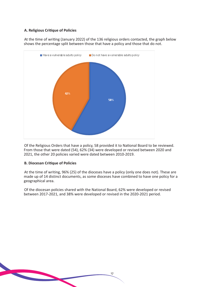#### **A. Religious Critique of Policies**

At the time of writing (January 2022) of the 136 religious orders contacted, the graph below shows the percentage split between those that have a policy and those that do not.



Of the Religious Orders that have a policy, 58 provided it to National Board to be reviewed. From those that were dated (54), 62% (34) were developed or revised between 2020 and 2021, the other 20 policies varied were dated between 2010-2019.

#### **B. Diocesan Critique of Policies**

At the time of writing, 96% (25) of the dioceses have a policy (only one does not). These are made up of 14 distinct documents, as some dioceses have combined to have one policy for a geographical area.

17

Of the diocesan policies shared with the National Board, 62% were developed or revised between 2017-2021, and 38% were developed or revised in the 2020-2021 period.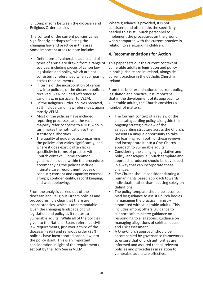C: Comparisons between the diocesan and Religious Order policies

The content of the current policies varies significantly, perhaps reflecting the changing law and practice in this area. Some important areas to note include:

- Definitions of vulnerable adults and of types of abuse are drawn from a range of sources, including pieces of canon law, legislation and policy, which are not consistently referenced when comparing across the documents.
- In terms of the incorporation of canon law into policies, of the diocesan policies received, 39% included reference to canon law, in particular to VELM.
- Of the Religious Order policies received, 35% include canon law references, again mostly VELM.
- Most of the policies have included reporting processes, and the vast majority refer concerns to a DLP, who in turn makes the notification to the statutory authorities.
- The quality of guidance accompanying the policies also varies significantly; and where it does exist it often lacks specificity in terms of practice within a Church context. Some common guidance included within the procedures accompanying the policies include intimate care; recruitment; codes of conduct; consent and capacity; external groups; confiden-tiality; record keeping; and whistleblowing.

From the analysis carried out of the diocesan and Religious Orders policies and procedures, it is clear that there are inconsistencies, which is understandable given the changing landscape of civil legislation and policy as it relates to vulnerable adults. While all of the policies given to the National Board reference civil law requirements, just over a third of the diocesan (39%) and religious order (35%) policies have incorporated canon law into the policy itself. This is an important consideration in light of the requirements set out by the Holy See in VELM.

Where guidance is provided, it is not consistent and often lacks the specificity needed to assist Church personnel to implement the procedures on the ground, when compared with the current practice in relation to safeguarding children.

#### **4. Recommendations for Action**

This paper sets out the current context of vulnerable adults in legislation and policy in both jurisdictions in Ireland, alongside current practice in the Catholic Church in Ireland.

From this brief examination of current policy, legislation and practice, it is important that in the development of its approach to vulnerable adults, the Church considers a number of matters:

- The Current context of a review of the child safeguarding policy, alongside the ongoing strategic review of the safeguarding structure across the Church, presents a unique opportunity to take the learning from both of these reviews and incorporate it into a One-Church approach to vulnerable adults.
- Considering the changing legislative and policy landscapes, a Church template and approach produced should be developed in a way that can incorporate these changes.
- The Church should consider adapting a human rights based approach towards individuals, rather than focusing solely on definitions
- The policy template should be accompanied by guidance to assist Church bodies in managing the practical ministry associated with vulnerable adults. This includes among others, guidance to support safe ministry; guidance on responding to allegations; guidance on managing allegations of spiritual abuse; and risk assessment.
- A One-Church approach should be accompanied by governance frameworks to ensure that Church authorities are informed and assured that all relevant policies and procedures in relation to vulnerable adults are effective.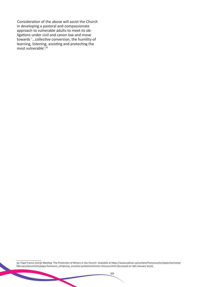Consideration of the above will assist the Church in developing a pastoral and compassionate approach to vulnerable adults to meet its obligations under civil and canon law and move towards '…collective conversion, the humility of learning, listening, assisting and protecting the most vulnerable'.<sup>39</sup>

39 Pope Francis (2019) Meeting 'The Protection of Minors in the Church'. Available at https://www.vatican.va/content/francesco/en/speeches/2019/ february/documents/papa-francesco\_20190224\_incontro-protezioneminori-chiusura.html (Accessed on 19th January 2022).